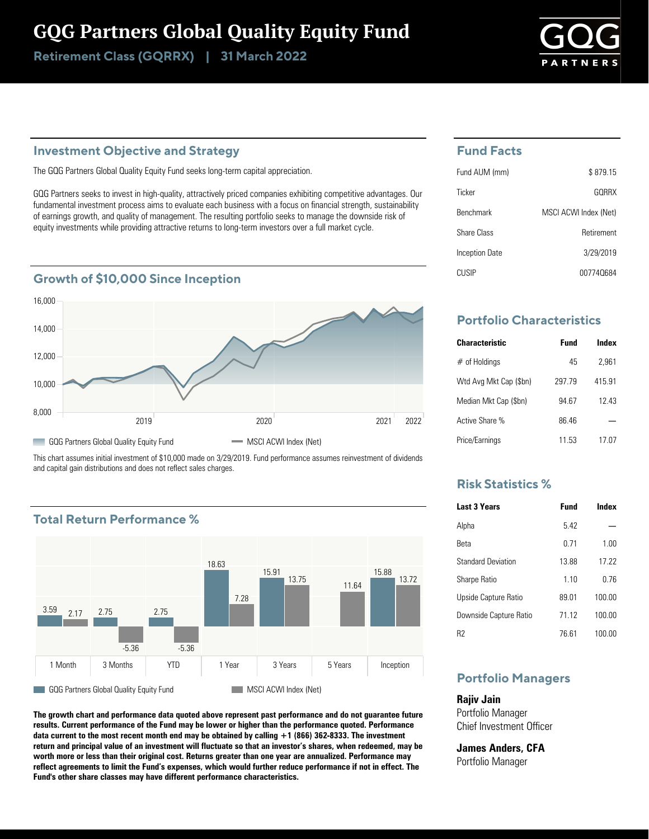# GQG Partners Global Quality Equity Fund

Retirement Class (GQRRX) | 31 March 2022

## **Investment Objective and Strategy**

The GQG Partners Global Quality Equity Fund seeks long-term capital appreciation.

GQG Partners seeks to invest in high-quality, attractively priced companies exhibiting competitive advantages. Our fundamental investment process aims to evaluate each business with a focus on financial strength, sustainability of earnings growth, and quality of management. The resulting portfolio seeks to manage the downside risk of equity investments while providing attractive returns to long-term investors over a full market cycle.

## **Growth of \$10,000 Since Inception**



This chart assumes initial investment of \$10,000 made on 3/29/2019. Fund performance assumes reinvestment of dividends and capital gain distributions and does not reflect sales charges.

# **Total Return Performance %**



**The growth chart and performance data quoted above represent past performance and do not guarantee future results. Current performance of the Fund may be lower or higher than the performance quoted. Performance data current to the most recent month end may be obtained by calling +1 (866) 362-8333. The investment return and principal value of an investment will fluctuate so that an investor's shares, when redeemed, may be worth more or less than their original cost. Returns greater than one year are annualized. Performance may reflect agreements to limit the Fund's expenses, which would further reduce performance if not in effect. The Fund's other share classes may have different performance characteristics.**

### **Fund Facts**

| Fund AUM (mm)    | \$879.15              |
|------------------|-----------------------|
| Ticker           | GORRX                 |
| <b>Benchmark</b> | MSCI ACWI Index (Net) |
| Share Class      | Retirement            |
| Inception Date   | 3/29/2019             |
| CUSIP            | 007740684             |

# **Portfolio Characteristics**

| <b>Characteristic</b>  | Fund   | Index  |
|------------------------|--------|--------|
| $#$ of Holdings        | 45     | 2.961  |
| Wtd Avg Mkt Cap (\$bn) | 297 79 | 415.91 |
| Median Mkt Cap (\$bn)  | 94 67  | 12 43  |
| Active Share %         | 8646   |        |
| Price/Earnings         | 11.53  | 17 07  |

## **Risk Statistics %**

| <b>Last 3 Years</b>       | <b>Fund</b> | Index  |
|---------------------------|-------------|--------|
| Alpha                     | 542         |        |
| Reta                      | 0 71        | 1.00   |
| <b>Standard Deviation</b> | 1388        | 17 22  |
| <b>Sharpe Ratio</b>       | 110         | 0 76   |
| Upside Capture Ratio      | 89 01       | 100.00 |
| Downside Capture Ratio    | 71 12       | 100.00 |
| R2                        | 76 61       | 100.00 |

# **Portfolio Managers**

**Rajiv Jain** Portfolio Manager Chief Investment Officer

**James Anders, CFA** Portfolio Manager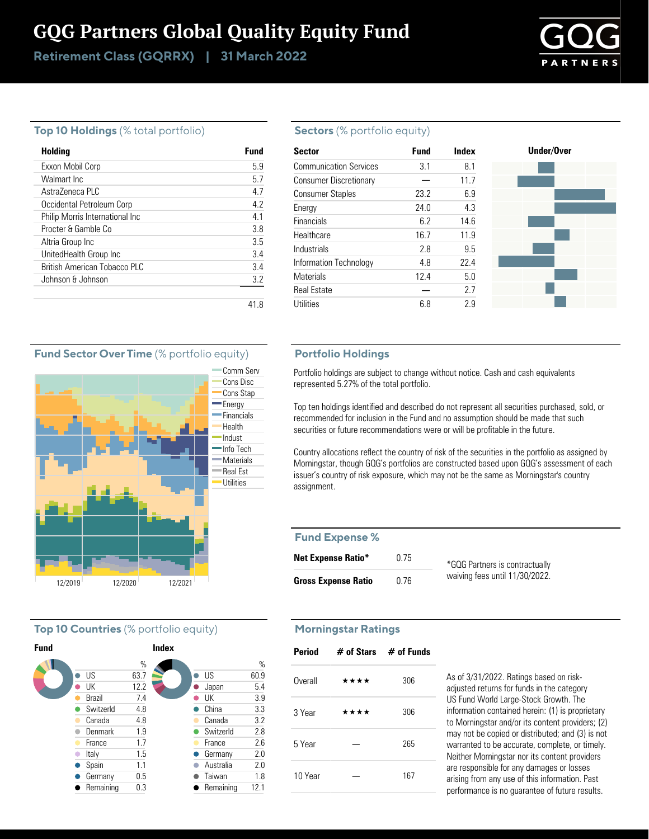# GQG Partners Global Quality Equity Fund

Retirement Class (GQRRX) | 31 March 2022



#### **Top 10 Holdings** (% total portfolio)

| Holding                         | Fund |
|---------------------------------|------|
| Exxon Mobil Corp                | 59   |
| Walmart Inc.                    | 57   |
| Astra7eneca PLC                 | 47   |
| Occidental Petroleum Corp       | 42   |
| Philip Morris International Inc | 41   |
| Procter & Gamble Co.            | 38   |
| Altria Group Inc                | 3.5  |
| UnitedHealth Group Inc          | 3.4  |
| British American Tobacco PLC    | 3.4  |
| Johnson & Johnson               | 3.2  |
|                                 |      |

#### **Sectors** (% portfolio equity)

| <b>Sector</b>                 | <b>Fund</b> | Index | Under/Over |
|-------------------------------|-------------|-------|------------|
| <b>Communication Services</b> | 3.1         | 8.1   |            |
| <b>Consumer Discretionary</b> |             | 11.7  |            |
| <b>Consumer Staples</b>       | 23.2        | 6.9   |            |
| Energy                        | 24.0        | 4.3   |            |
| Financials                    | 6.2         | 14.6  |            |
| Healthcare                    | 16.7        | 11.9  |            |
| Industrials                   | 2.8         | 9.5   |            |
| Information Technology        | 4.8         | 22.4  |            |
| <b>Materials</b>              | 12.4        | 5.0   |            |
| <b>Real Estate</b>            |             | 2.7   |            |
| Utilities                     | 6.8         | 2.9   |            |

#### **Portfolio Holdings**

Portfolio holdings are subject to change without notice. Cash and cash equivalents represented 5.27% of the total portfolio.

Top ten holdings identified and described do not represent all securities purchased, sold, or recommended for inclusion in the Fund and no assumption should be made that such securities or future recommendations were or will be profitable in the future.

Country allocations reflect the country of risk of the securities in the portfolio as assigned by Morningstar, though GQG's portfolios are constructed based upon GQG's assessment of each issuer's country of risk exposure, which may not be the same as Morningstar's country assignment.

#### **Fund Expense %**

| <b>Net Expense Ratio*</b>  | 0.75 | *GQG Partners is contractually |
|----------------------------|------|--------------------------------|
| <b>Gross Expense Ratio</b> | 0.76 | waiving fees until 11/30/2022. |

#### **Morningstar Ratings**

| <b>Period</b> |      | $#$ of Stars $#$ of Funds |
|---------------|------|---------------------------|
| Overall       | **** | 306                       |
| 3 Year        | **** | 306                       |
| 5 Year        |      | 265                       |
| 10 Year       |      | 167                       |

As of 3/31/2022. Ratings based on riskadjusted returns for funds in the category US Fund World Large-Stock Growth. The information contained herein: (1) is proprietary to Morningstar and/or its content providers; (2) may not be copied or distributed; and (3) is not warranted to be accurate, complete, or timely. Neither Morningstar nor its content providers are responsible for any damages or losses arising from any use of this information. Past performance is no guarantee of future results.

#### **Fund Sector Over Time** (% portfolio equity)



#### **Top 10 Countries** (% portfolio equity)